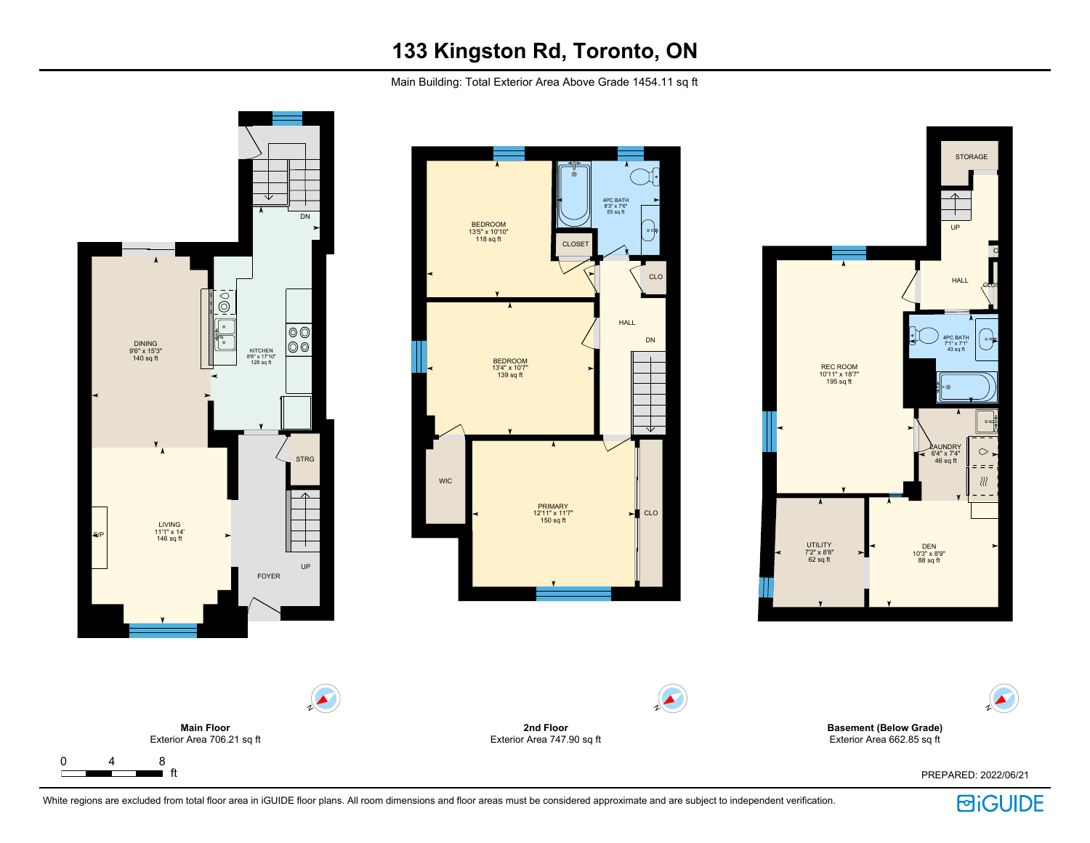Main Building: Total Exterior Area Above Grade 1454.11 sq ft



**BiGUIDE**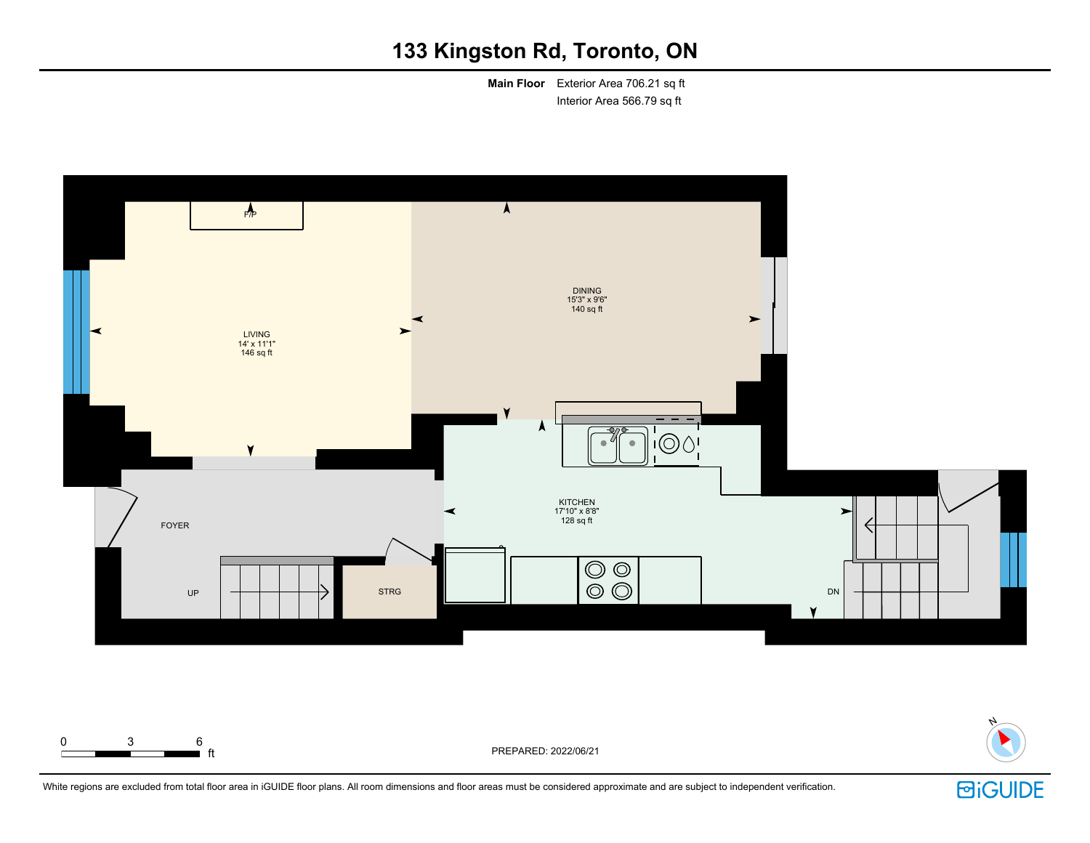**Main Floor** Exterior Area 706.21 sq ft Interior Area 566.79 sq ft





ft PREPARED: 2022/06/21

0 3 6

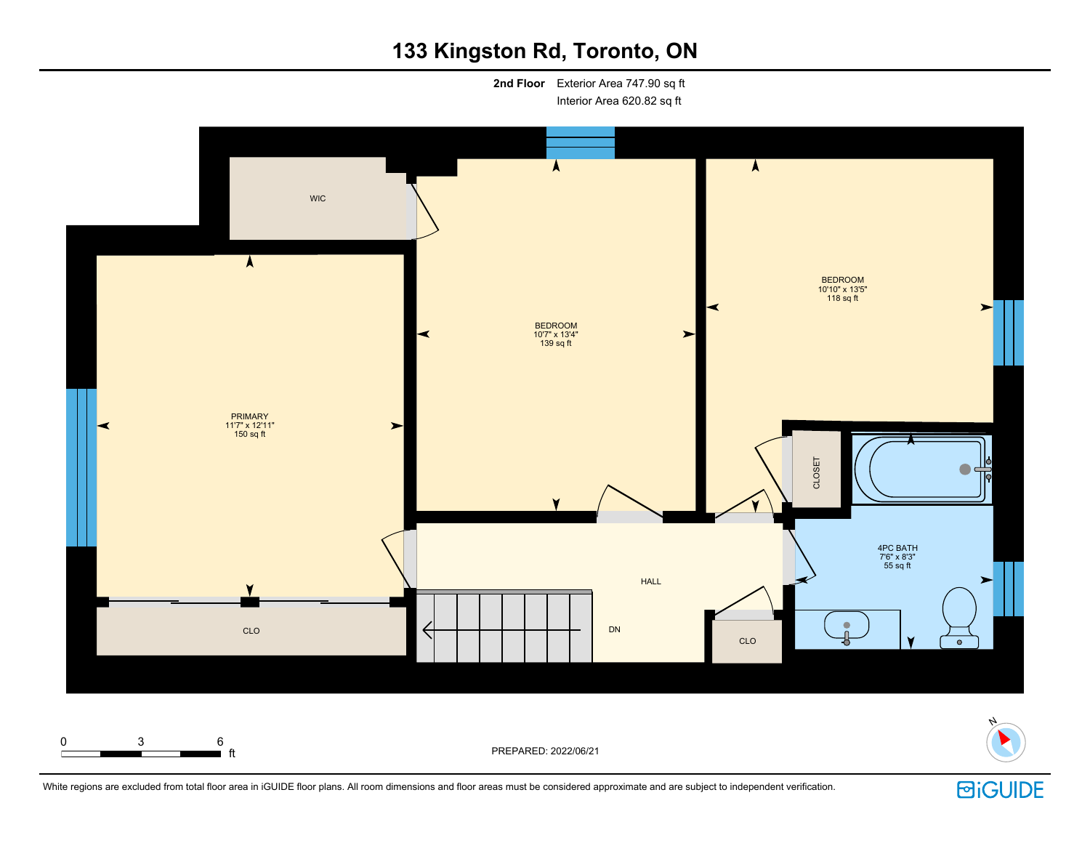**2nd Floor** Exterior Area 747.90 sq ft Interior Area 620.82 sq ft



**i** ft **ft** PREPARED: 2022/06/21



White regions are excluded from total floor area in iGUIDE floor plans. All room dimensions and floor areas must be considered approximate and are subject to independent verification.

0 3 6

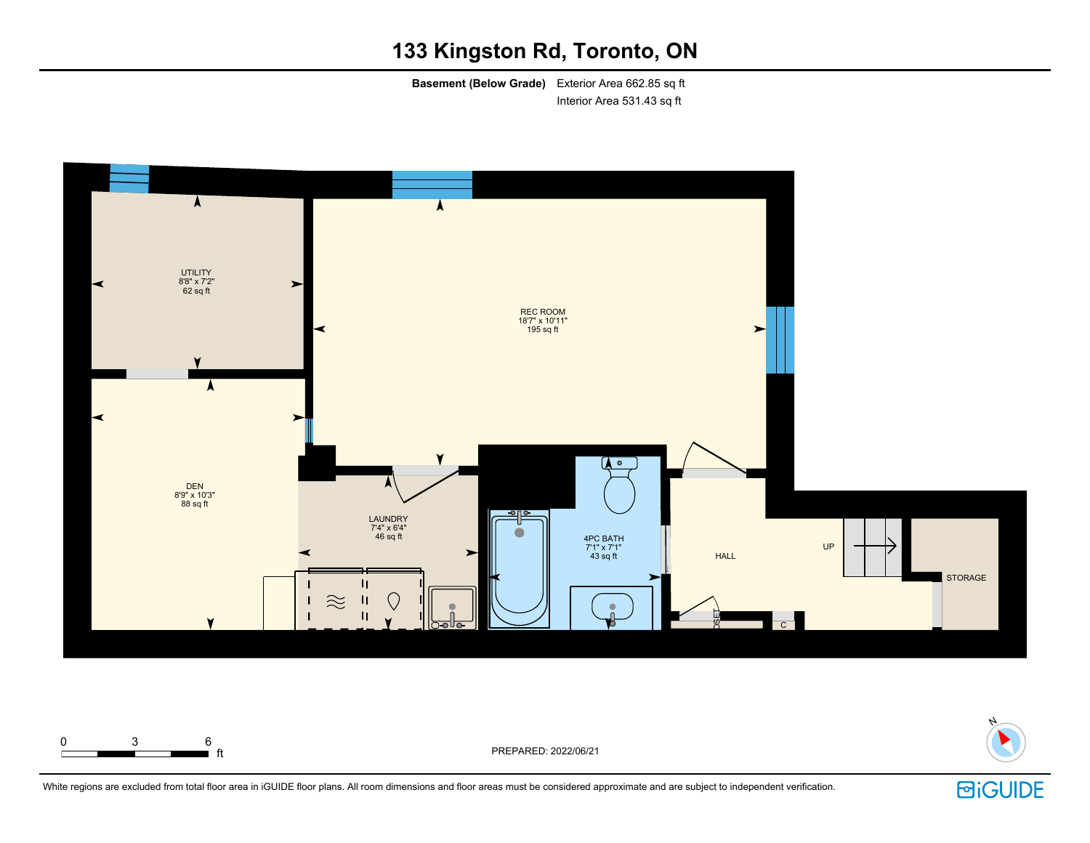**Basement (Below Grade)** Exterior Area 662.85 sq ft Interior Area 531.43 sq ft





ft PREPARED: 2022/06/21



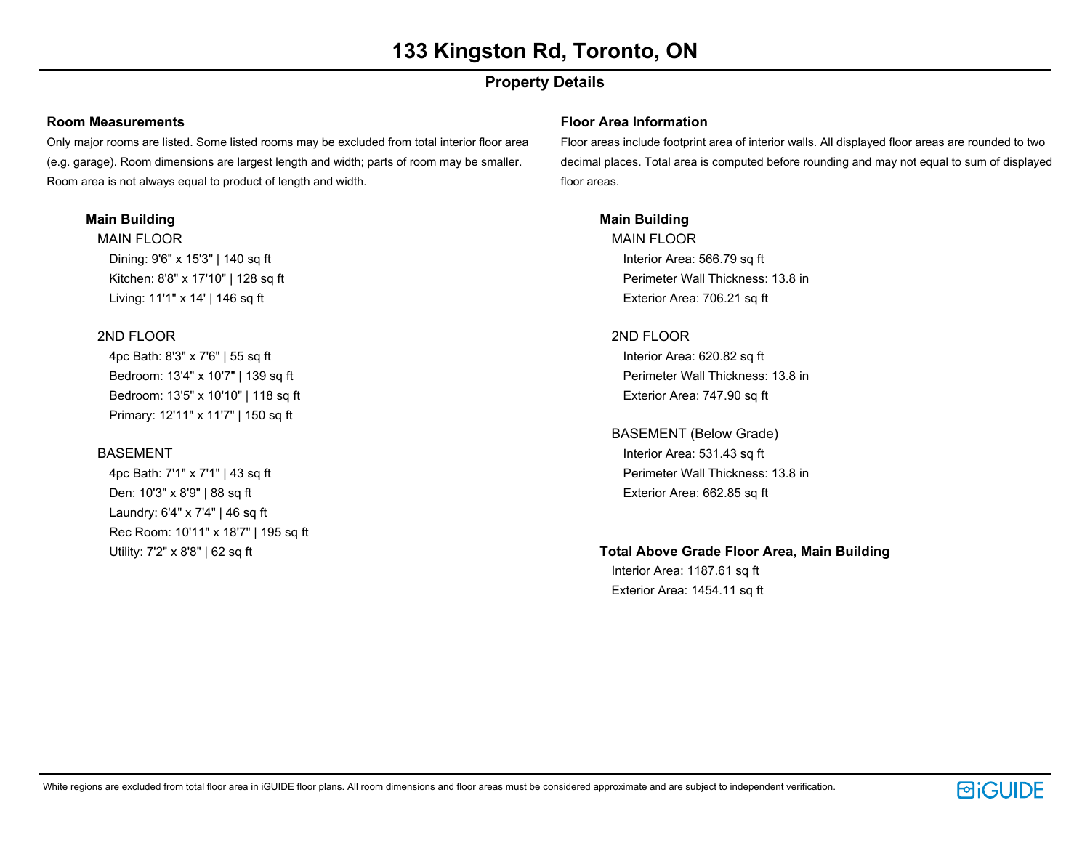# **Property Details**

#### **Room Measurements**

Only major rooms are listed. Some listed rooms may be excluded from total interior floor area (e.g. garage). Room dimensions are largest length and width; parts of room may be smaller. Room area is not always equal to product of length and width.

### **Main Building**

MAIN FLOOR Dining: 9'6" x 15'3" | 140 sq ft Kitchen: 8'8" x 17'10" | 128 sq ft Living: 11'1" x 14' | 146 sq ft

## 2ND FLOOR

4pc Bath: 8'3" x 7'6" | 55 sq ft Bedroom: 13'4" x 10'7" | 139 sq ft Bedroom: 13'5" x 10'10" | 118 sq ft Primary: 12'11" x 11'7" | 150 sq ft

## BASEMENT

4pc Bath: 7'1" x 7'1" | 43 sq ft Den: 10'3" x 8'9" | 88 sq ft Laundry: 6'4" x 7'4" | 46 sq ft Rec Room: 10'11" x 18'7" | 195 sq ft Utility: 7'2" x 8'8" | 62 sq ft

### **Floor Area Information**

Floor areas include footprint area of interior walls. All displayed floor areas are rounded to two decimal places. Total area is computed before rounding and may not equal to sum of displayed floor areas.

## **Main Building**

MAIN FLOOR Interior Area: 566.79 sq ft Perimeter Wall Thickness: 13.8 in Exterior Area: 706.21 sq ft

### 2ND FLOOR

Interior Area: 620.82 sq ft Perimeter Wall Thickness: 13.8 in Exterior Area: 747.90 sq ft

# BASEMENT (Below Grade)

Interior Area: 531.43 sq ft Perimeter Wall Thickness: 13.8 in Exterior Area: 662.85 sq ft

### **Total Above Grade Floor Area, Main Building**

Interior Area: 1187.61 sq ft Exterior Area: 1454.11 sq ft